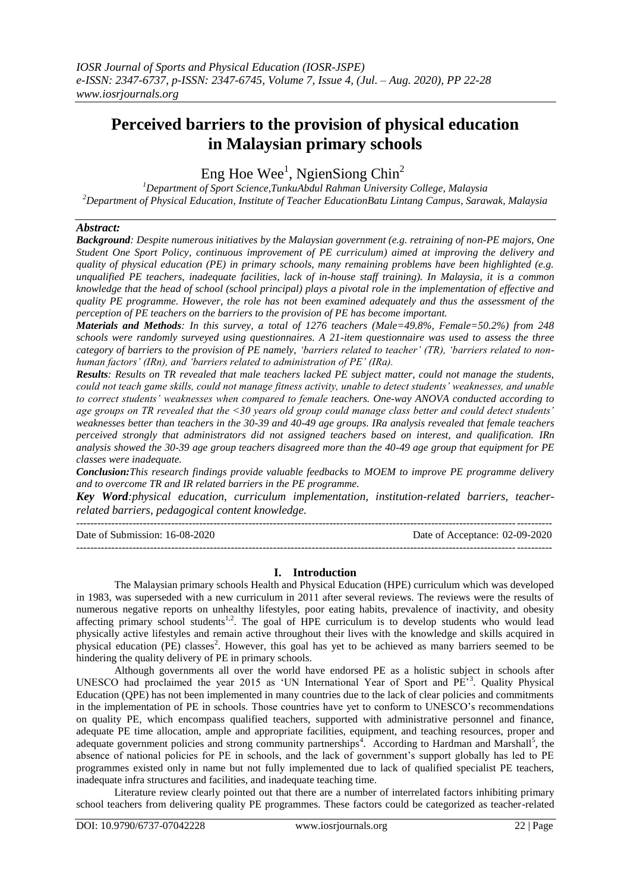# **Perceived barriers to the provision of physical education in Malaysian primary schools**

Eng Hoe Wee<sup>1</sup>, NgienSiong Chin<sup>2</sup>

*<sup>1</sup>Department of Sport Science,TunkuAbdul Rahman University College, Malaysia <sup>2</sup>Department of Physical Education, Institute of Teacher EducationBatu Lintang Campus, Sarawak, Malaysia*

# *Abstract:*

*Background: Despite numerous initiatives by the Malaysian government (e.g. retraining of non-PE majors, One Student One Sport Policy, continuous improvement of PE curriculum) aimed at improving the delivery and quality of physical education (PE) in primary schools, many remaining problems have been highlighted (e.g. unqualified PE teachers, inadequate facilities, lack of in-house staff training). In Malaysia, it is a common knowledge that the head of school (school principal) plays a pivotal role in the implementation of effective and quality PE programme. However, the role has not been examined adequately and thus the assessment of the perception of PE teachers on the barriers to the provision of PE has become important.* 

*Materials and Methods: In this survey, a total of 1276 teachers (Male=49.8%, Female=50.2%) from 248 schools were randomly surveyed using questionnaires. A 21-item questionnaire was used to assess the three category of barriers to the provision of PE namely, 'barriers related to teacher' (TR), 'barriers related to nonhuman factors' (IRn), and 'barriers related to administration of PE' (IRa).*

*Results: Results on TR revealed that male teachers lacked PE subject matter, could not manage the students, could not teach game skills, could not manage fitness activity, unable to detect students' weaknesses, and unable to correct students' weaknesses when compared to female teachers. One-way ANOVA conducted according to age groups on TR revealed that the <30 years old group could manage class better and could detect students' weaknesses better than teachers in the 30-39 and 40-49 age groups. IRa analysis revealed that female teachers perceived strongly that administrators did not assigned teachers based on interest, and qualification. IRn analysis showed the 30-39 age group teachers disagreed more than the 40-49 age group that equipment for PE classes were inadequate.*

*Conclusion:This research findings provide valuable feedbacks to MOEM to improve PE programme delivery and to overcome TR and IR related barriers in the PE programme.*

*Key Word:physical education, curriculum implementation, institution-related barriers, teacherrelated barriers, pedagogical content knowledge.*

Date of Submission: 16-08-2020 Date of Acceptance: 02-09-2020 ---------------------------------------------------------------------------------------------------------------------------------------

---------------------------------------------------------------------------------------------------------------------------------------

## **I. Introduction**

The Malaysian primary schools Health and Physical Education (HPE) curriculum which was developed in 1983, was superseded with a new curriculum in 2011 after several reviews. The reviews were the results of numerous negative reports on unhealthy lifestyles, poor eating habits, prevalence of inactivity, and obesity affecting primary school students<sup>1,2</sup>. The goal of HPE curriculum is to develop students who would lead physically active lifestyles and remain active throughout their lives with the knowledge and skills acquired in physical education (PE) classes<sup>2</sup>. However, this goal has yet to be achieved as many barriers seemed to be hindering the quality delivery of PE in primary schools.

Although governments all over the world have endorsed PE as a holistic subject in schools after UNESCO had proclaimed the year 2015 as 'UN International Year of Sport and PE<sup>73</sup>. Quality Physical Education (QPE) has not been implemented in many countries due to the lack of clear policies and commitments in the implementation of PE in schools. Those countries have yet to conform to UNESCO"s recommendations on quality PE, which encompass qualified teachers, supported with administrative personnel and finance, adequate PE time allocation, ample and appropriate facilities, equipment, and teaching resources, proper and adequate government policies and strong community partnerships<sup>4</sup>. According to Hardman and Marshall<sup>5</sup>, the absence of national policies for PE in schools, and the lack of government's support globally has led to PE programmes existed only in name but not fully implemented due to lack of qualified specialist PE teachers, inadequate infra structures and facilities, and inadequate teaching time.

Literature review clearly pointed out that there are a number of interrelated factors inhibiting primary school teachers from delivering quality PE programmes. These factors could be categorized as teacher-related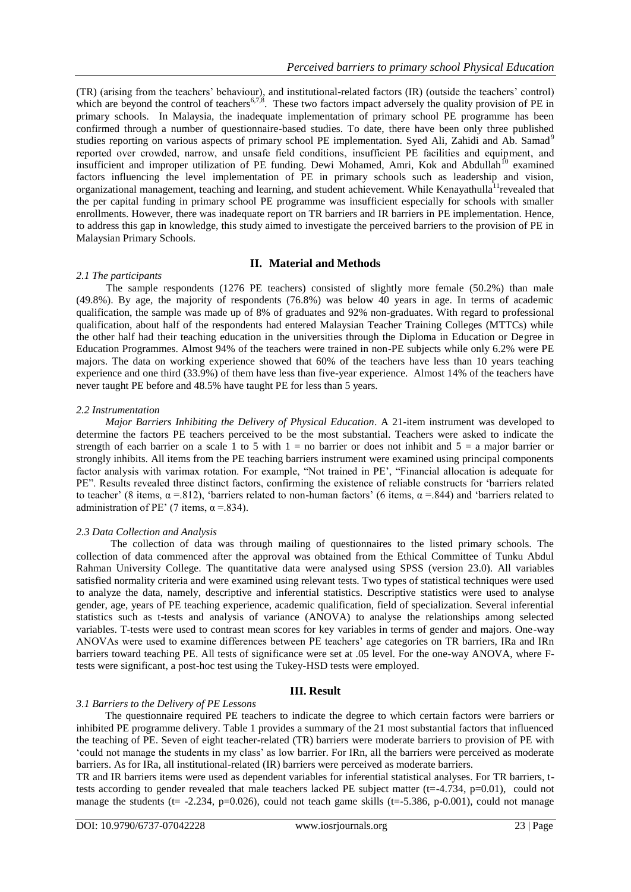(TR) (arising from the teachers" behaviour), and institutional-related factors (IR) (outside the teachers" control) which are beyond the control of teachers<sup>6,7,8</sup>. These two factors impact adversely the quality provision of PE in primary schools. In Malaysia, the inadequate implementation of primary school PE programme has been confirmed through a number of questionnaire-based studies. To date, there have been only three published studies reporting on various aspects of primary school PE implementation. Syed Ali, Zahidi and Ab. Samad<sup>9</sup> reported over crowded, narrow, and unsafe field conditions, insufficient PE facilities and equipment, and insufficient and improper utilization of PE funding. Dewi Mohamed, Amri, Kok and Abdullah<sup>10</sup> examined factors influencing the level implementation of PE in primary schools such as leadership and vision, organizational management, teaching and learning, and student achievement. While Kenayathulla<sup>11</sup>revealed that the per capital funding in primary school PE programme was insufficient especially for schools with smaller enrollments. However, there was inadequate report on TR barriers and IR barriers in PE implementation. Hence, to address this gap in knowledge, this study aimed to investigate the perceived barriers to the provision of PE in Malaysian Primary Schools.

## **II. Material and Methods**

#### *2.1 The participants*

The sample respondents (1276 PE teachers) consisted of slightly more female (50.2%) than male (49.8%). By age, the majority of respondents (76.8%) was below 40 years in age. In terms of academic qualification, the sample was made up of 8% of graduates and 92% non-graduates. With regard to professional qualification, about half of the respondents had entered Malaysian Teacher Training Colleges (MTTCs) while the other half had their teaching education in the universities through the Diploma in Education or Degree in Education Programmes. Almost 94% of the teachers were trained in non-PE subjects while only 6.2% were PE majors. The data on working experience showed that 60% of the teachers have less than 10 years teaching experience and one third (33.9%) of them have less than five-year experience. Almost 14% of the teachers have never taught PE before and 48.5% have taught PE for less than 5 years.

#### *2.2 Instrumentation*

 *Major Barriers Inhibiting the Delivery of Physical Education*. A 21-item instrument was developed to determine the factors PE teachers perceived to be the most substantial. Teachers were asked to indicate the strength of each barrier on a scale 1 to 5 with  $1 =$  no barrier or does not inhibit and  $5 =$  a major barrier or strongly inhibits. All items from the PE teaching barriers instrument were examined using principal components factor analysis with varimax rotation. For example, "Not trained in PE', "Financial allocation is adequate for PE". Results revealed three distinct factors, confirming the existence of reliable constructs for "barriers related to teacher' (8 items,  $\alpha$  =.812), 'barriers related to non-human factors' (6 items,  $\alpha$  =.844) and 'barriers related to administration of PE' (7 items,  $\alpha$  =.834).

## *2.3 Data Collection and Analysis*

 The collection of data was through mailing of questionnaires to the listed primary schools. The collection of data commenced after the approval was obtained from the Ethical Committee of Tunku Abdul Rahman University College. The quantitative data were analysed using SPSS (version 23.0). All variables satisfied normality criteria and were examined using relevant tests. Two types of statistical techniques were used to analyze the data, namely, descriptive and inferential statistics. Descriptive statistics were used to analyse gender, age, years of PE teaching experience, academic qualification, field of specialization. Several inferential statistics such as t-tests and analysis of variance (ANOVA) to analyse the relationships among selected variables. T-tests were used to contrast mean scores for key variables in terms of gender and majors. One-way ANOVAs were used to examine differences between PE teachers" age categories on TR barriers, IRa and IRn barriers toward teaching PE. All tests of significance were set at .05 level. For the one-way ANOVA, where Ftests were significant, a post-hoc test using the Tukey-HSD tests were employed.

## **III. Result**

#### *3.1 Barriers to the Delivery of PE Lessons*

 The questionnaire required PE teachers to indicate the degree to which certain factors were barriers or inhibited PE programme delivery. Table 1 provides a summary of the 21 most substantial factors that influenced the teaching of PE. Seven of eight teacher-related (TR) barriers were moderate barriers to provision of PE with "could not manage the students in my class" as low barrier. For IRn, all the barriers were perceived as moderate barriers. As for IRa, all institutional-related (IR) barriers were perceived as moderate barriers.

TR and IR barriers items were used as dependent variables for inferential statistical analyses. For TR barriers, ttests according to gender revealed that male teachers lacked PE subject matter (t=-4.734, p=0.01), could not manage the students ( $t=$  -2.234, p=0.026), could not teach game skills ( $t=$  -5.386, p-0.001), could not manage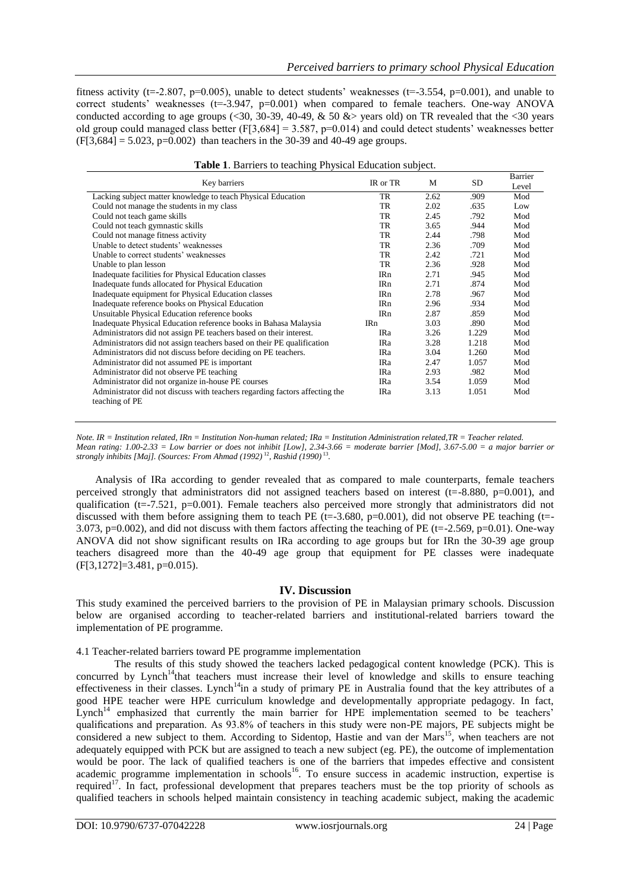fitness activity (t=-2.807, p=0.005), unable to detect students' weaknesses (t=-3.554, p=0.001), and unable to correct students' weaknesses ( $t=3.947$ ,  $p=0.001$ ) when compared to female teachers. One-way ANOVA conducted according to age groups (<30, 30-39, 40-49,  $\&$  50  $\&$  years old) on TR revealed that the <30 years old group could managed class better  $(F[3,684] = 3.587, p=0.014)$  and could detect students' weaknesses better  $(F[3,684] = 5.023, p=0.002)$  than teachers in the 30-39 and 40-49 age groups.

|                 |          | <b>SD</b> | Barrier |
|-----------------|----------|-----------|---------|
|                 |          |           | Level   |
| <b>TR</b>       | 2.62     | .909      | Mod     |
| TR.             | 2.02     | .635      | Low     |
| TR              | 2.45     | .792      | Mod     |
| TR.             | 3.65     | .944      | Mod     |
| TR.             | 2.44     | .798      | Mod     |
| TR              | 2.36     | .709      | Mod     |
| TR.             | 2.42     | .721      | Mod     |
| TR              | 2.36     | .928      | Mod     |
| IR <sub>n</sub> | 2.71     | .945      | Mod     |
| <b>IRn</b>      | 2.71     | .874      | Mod     |
| <b>IRn</b>      | 2.78     | .967      | Mod     |
| <b>IRn</b>      | 2.96     | .934      | Mod     |
| <b>IRn</b>      | 2.87     | .859      | Mod     |
| IR <sub>n</sub> | 3.03     | .890      | Mod     |
| <b>IRa</b>      | 3.26     | 1.229     | Mod     |
| <b>IRa</b>      | 3.28     | 1.218     | Mod     |
| <b>IRa</b>      | 3.04     | 1.260     | Mod     |
| IRa             | 2.47     | 1.057     | Mod     |
| IRa             | 2.93     | .982      | Mod     |
| <b>IRa</b>      | 3.54     | 1.059     | Mod     |
| <b>IRa</b>      | 3.13     | 1.051     | Mod     |
|                 | IR or TR | M         |         |

|  |  |  |  | Table 1. Barriers to teaching Physical Education subject. |  |
|--|--|--|--|-----------------------------------------------------------|--|
|--|--|--|--|-----------------------------------------------------------|--|

*Note. IR = Institution related, IRn = Institution Non-human related; IRa = Institution Administration related,TR = Teacher related. Mean rating: 1.00-2.33 = Low barrier or does not inhibit [Low], 2.34-3.66 = moderate barrier [Mod], 3.67-5.00 = a major barrier or strongly inhibits [Maj]. (Sources: From Ahmad (1992)* <sup>12</sup>*, Rashid (1990)* <sup>13</sup> *.*

Analysis of IRa according to gender revealed that as compared to male counterparts, female teachers perceived strongly that administrators did not assigned teachers based on interest ( $t=-8.880$ ,  $p=0.001$ ), and qualification ( $t=-7.521$ ,  $p=0.001$ ). Female teachers also perceived more strongly that administrators did not discussed with them before assigning them to teach PE ( $t=3.680$ ,  $p=0.001$ ), did not observe PE teaching ( $t=$ -3.073, p=0.002), and did not discuss with them factors affecting the teaching of PE (t=-2.569, p=0.01). One-way ANOVA did not show significant results on IRa according to age groups but for IRn the 30-39 age group teachers disagreed more than the 40-49 age group that equipment for PE classes were inadequate (F[3,1272]=3.481, p=0.015).

## **IV. Discussion**

This study examined the perceived barriers to the provision of PE in Malaysian primary schools. Discussion below are organised according to teacher-related barriers and institutional-related barriers toward the implementation of PE programme.

4.1 Teacher-related barriers toward PE programme implementation

The results of this study showed the teachers lacked pedagogical content knowledge (PCK). This is concurred by Lynch<sup>14</sup>that teachers must increase their level of knowledge and skills to ensure teaching effectiveness in their classes. Lynch<sup>14</sup>in a study of primary PE in Australia found that the key attributes of a good HPE teacher were HPE curriculum knowledge and developmentally appropriate pedagogy. In fact,  $L$ ynch<sup>14</sup> emphasized that currently the main barrier for HPE implementation seemed to be teachers' qualifications and preparation. As 93.8% of teachers in this study were non-PE majors, PE subjects might be considered a new subject to them. According to Sidentop, Hastie and van der Mars<sup>15</sup>, when teachers are not adequately equipped with PCK but are assigned to teach a new subject (eg. PE), the outcome of implementation would be poor. The lack of qualified teachers is one of the barriers that impedes effective and consistent academic programme implementation in schools<sup>16</sup>. To ensure success in academic instruction, expertise is required<sup>17</sup>. In fact, professional development that prepares teachers must be the top priority of schools as qualified teachers in schools helped maintain consistency in teaching academic subject, making the academic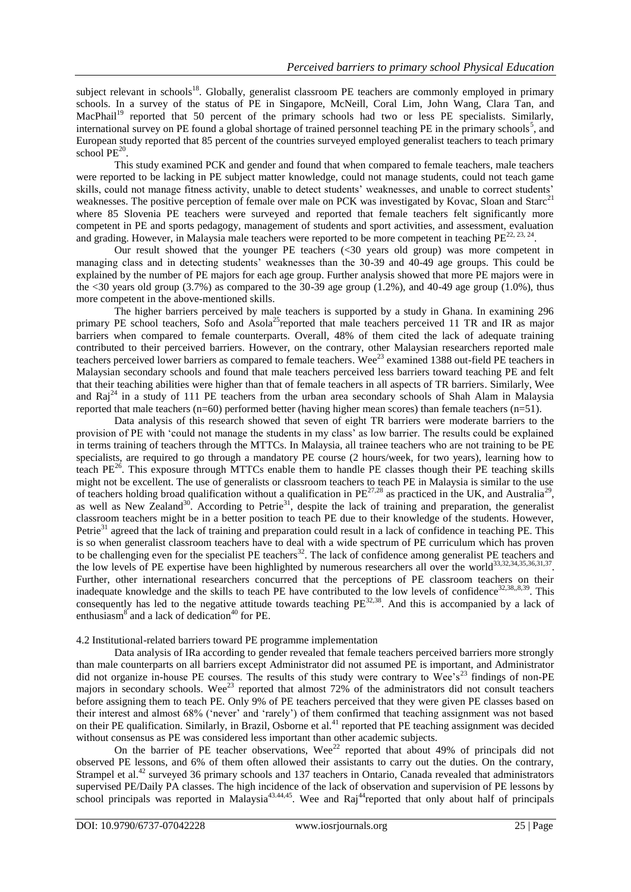subject relevant in schools<sup>18</sup>. Globally, generalist classroom PE teachers are commonly employed in primary schools. In a survey of the status of PE in Singapore, McNeill, Coral Lim, John Wang, Clara Tan, and MacPhail<sup>19</sup> reported that 50 percent of the primary schools had two or less PE specialists. Similarly, international survey on PE found a global shortage of trained personnel teaching PE in the primary schools<sup>5</sup>, and European study reported that 85 percent of the countries surveyed employed generalist teachers to teach primary school  $PE^{20}$ .

This study examined PCK and gender and found that when compared to female teachers, male teachers were reported to be lacking in PE subject matter knowledge, could not manage students, could not teach game skills, could not manage fitness activity, unable to detect students' weaknesses, and unable to correct students' weaknesses. The positive perception of female over male on PCK was investigated by Kovac, Sloan and Starc<sup>21</sup> where 85 Slovenia PE teachers were surveyed and reported that female teachers felt significantly more competent in PE and sports pedagogy, management of students and sport activities, and assessment, evaluation and grading. However, in Malaysia male teachers were reported to be more competent in teaching  $PE^{22, 23, 24}$ .

Our result showed that the younger PE teachers (<30 years old group) was more competent in managing class and in detecting students' weaknesses than the 30-39 and 40-49 age groups. This could be explained by the number of PE majors for each age group. Further analysis showed that more PE majors were in the  $\leq$ 30 years old group (3.7%) as compared to the 30-39 age group (1.2%), and 40-49 age group (1.0%), thus more competent in the above-mentioned skills.

The higher barriers perceived by male teachers is supported by a study in Ghana. In examining 296 primary PE school teachers, Sofo and Asola<sup>25</sup>reported that male teachers perceived 11 TR and IR as major barriers when compared to female counterparts. Overall, 48% of them cited the lack of adequate training contributed to their perceived barriers. However, on the contrary, other Malaysian researchers reported male teachers perceived lower barriers as compared to female teachers. Wee<sup>23</sup> examined 1388 out-field PE teachers in Malaysian secondary schools and found that male teachers perceived less barriers toward teaching PE and felt that their teaching abilities were higher than that of female teachers in all aspects of TR barriers. Similarly, Wee and Raj<sup>24</sup> in a study of 111 PE teachers from the urban area secondary schools of Shah Alam in Malaysia reported that male teachers (n=60) performed better (having higher mean scores) than female teachers (n=51).

Data analysis of this research showed that seven of eight TR barriers were moderate barriers to the provision of PE with "could not manage the students in my class" as low barrier. The results could be explained in terms training of teachers through the MTTCs. In Malaysia, all trainee teachers who are not training to be PE specialists, are required to go through a mandatory PE course (2 hours/week, for two years), learning how to teach PE<sup>26</sup>. This exposure through MTTCs enable them to handle PE classes though their PE teaching skills might not be excellent. The use of generalists or classroom teachers to teach PE in Malaysia is similar to the use of teachers holding broad qualification without a qualification in  $PE^{27,28}$  as practiced in the UK, and Australia<sup>29</sup>, as well as New Zealand<sup>30</sup>. According to Petrie<sup>31</sup>, despite the lack of training and preparation, the generalist classroom teachers might be in a better position to teach PE due to their knowledge of the students. However, Petrie<sup>31</sup> agreed that the lack of training and preparation could result in a lack of confidence in teaching PE. This is so when generalist classroom teachers have to deal with a wide spectrum of PE curriculum which has proven to be challenging even for the specialist PE teachers<sup>32</sup>. The lack of confidence among generalist PE teachers and the low levels of PE expertise have been highlighted by numerous researchers all over the world<sup>33,32,34,35,36,31,37</sup>. Further, other international researchers concurred that the perceptions of PE classroom teachers on their inadequate knowledge and the skills to teach PE have contributed to the low levels of confidence<sup>32,38,,8,39</sup>. This consequently has led to the negative attitude towards teaching  $PE^{32,38}$ . And this is accompanied by a lack of enthusiasm $8^{\circ}$  and a lack of dedication<sup>40</sup> for PE.

## 4.2 Institutional-related barriers toward PE programme implementation

Data analysis of IRa according to gender revealed that female teachers perceived barriers more strongly than male counterparts on all barriers except Administrator did not assumed PE is important, and Administrator did not organize in-house PE courses. The results of this study were contrary to Wee's<sup>23</sup> findings of non-PE majors in secondary schools. Wee<sup>23</sup> reported that almost 72% of the administrators did not consult teachers before assigning them to teach PE. Only 9% of PE teachers perceived that they were given PE classes based on their interest and almost 68% ("never" and "rarely") of them confirmed that teaching assignment was not based on their PE qualification. Similarly, in Brazil, Osborne et al.<sup>41</sup> reported that PE teaching assignment was decided without consensus as PE was considered less important than other academic subjects.

On the barrier of PE teacher observations, Wee<sup>22</sup> reported that about 49% of principals did not observed PE lessons, and 6% of them often allowed their assistants to carry out the duties. On the contrary, Strampel et al.<sup>42</sup> surveyed 36 primary schools and 137 teachers in Ontario, Canada revealed that administrators supervised PE/Daily PA classes. The high incidence of the lack of observation and supervision of PE lessons by school principals was reported in Malaysia<sup>43,44,45</sup>. Wee and Raj<sup>44</sup>reported that only about half of principals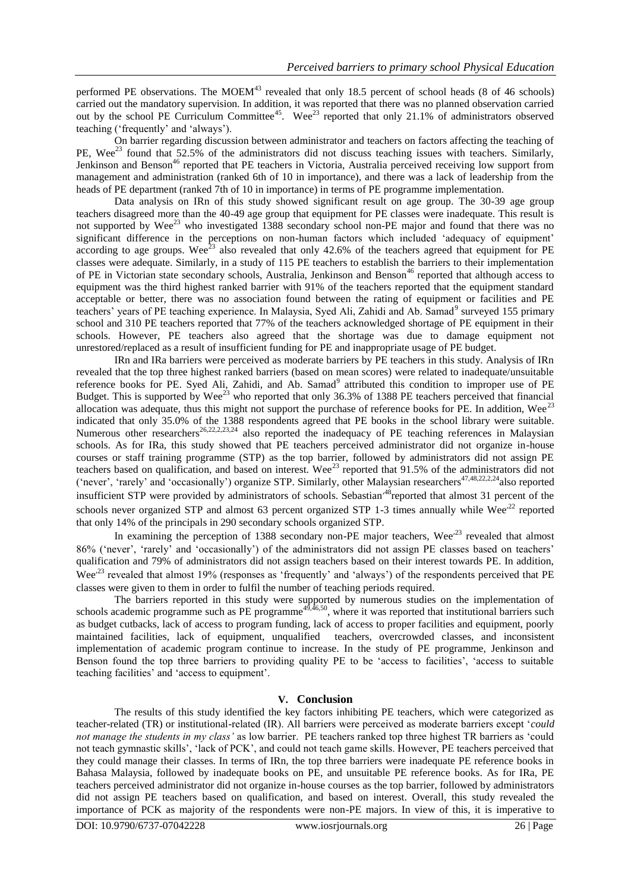performed PE observations. The MOEM<sup>43</sup> revealed that only 18.5 percent of school heads (8 of 46 schools) carried out the mandatory supervision. In addition, it was reported that there was no planned observation carried out by the school PE Curriculum Committee<sup>45</sup>. Wee<sup>23</sup> reported that only 21.1% of administrators observed teaching ("frequently" and "always").

On barrier regarding discussion between administrator and teachers on factors affecting the teaching of PE, Wee<sup>23</sup> found that 52.5% of the administrators did not discuss teaching issues with teachers. Similarly, Jenkinson and Benson<sup>46</sup> reported that PE teachers in Victoria, Australia perceived receiving low support from management and administration (ranked 6th of 10 in importance), and there was a lack of leadership from the heads of PE department (ranked 7th of 10 in importance) in terms of PE programme implementation.

Data analysis on IRn of this study showed significant result on age group. The 30-39 age group teachers disagreed more than the 40-49 age group that equipment for PE classes were inadequate. This result is not supported by Wee<sup>23</sup> who investigated 1388 secondary school non-PE major and found that there was no significant difference in the perceptions on non-human factors which included 'adequacy of equipment' according to age groups. Wee<sup>23</sup> also revealed that only 42.6% of the teachers agreed that equipment for PE classes were adequate. Similarly, in a study of 115 PE teachers to establish the barriers to their implementation of PE in Victorian state secondary schools, Australia, Jenkinson and Benson<sup>46</sup> reported that although access to equipment was the third highest ranked barrier with 91% of the teachers reported that the equipment standard acceptable or better, there was no association found between the rating of equipment or facilities and PE teachers' years of PE teaching experience. In Malaysia, Syed Ali, Zahidi and Ab. Samad<sup>9</sup> surveyed 155 primary school and 310 PE teachers reported that 77% of the teachers acknowledged shortage of PE equipment in their schools. However, PE teachers also agreed that the shortage was due to damage equipment not unrestored/replaced as a result of insufficient funding for PE and inappropriate usage of PE budget.

IRn and IRa barriers were perceived as moderate barriers by PE teachers in this study. Analysis of IRn revealed that the top three highest ranked barriers (based on mean scores) were related to inadequate/unsuitable reference books for PE. Syed Ali, Zahidi, and Ab. Samad<sup>9</sup> attributed this condition to improper use of PE Budget. This is supported by  $Wee^{23}$  who reported that only 36.3% of 1388 PE teachers perceived that financial allocation was adequate, thus this might not support the purchase of reference books for PE. In addition, Wee<sup>23</sup> indicated that only 35.0% of the 1388 respondents agreed that PE books in the school library were suitable. Numerous other researchers<sup>26,22,2,23,24</sup> also reported the inadequacy of PE teaching references in Malaysian schools. As for IRa, this study showed that PE teachers perceived administrator did not organize in-house courses or staff training programme (STP) as the top barrier, followed by administrators did not assign PE teachers based on qualification, and based on interest. Wee<sup>23</sup> reported that  $91.5\%$  of the administrators did not ('never', 'rarely' and 'occasionally') organize STP. Similarly, other Malaysian researchers<sup>47,48,22,2,24</sup>also reported insufficient STP were provided by administrators of schools. Sebastian<sup>,48</sup>reported that almost 31 percent of the schools never organized STP and almost 63 percent organized STP 1-3 times annually while Wee<sup> $22$ </sup> reported that only 14% of the principals in 290 secondary schools organized STP.

In examining the perception of 1388 secondary non-PE major teachers, Wee<sup> $23$ </sup> revealed that almost 86% ('never', 'rarely' and 'occasionally') of the administrators did not assign PE classes based on teachers' qualification and 79% of administrators did not assign teachers based on their interest towards PE. In addition, Wee<sup> $23$ </sup> revealed that almost 19% (responses as 'frequently' and 'always') of the respondents perceived that PE classes were given to them in order to fulfil the number of teaching periods required.

The barriers reported in this study were supported by numerous studies on the implementation of schools academic programme such as PE programme<sup>49,46,50</sup>, where it was reported that institutional barriers such as budget cutbacks, lack of access to program funding, lack of access to proper facilities and equipment, poorly maintained facilities, lack of equipment, unqualified teachers, overcrowded classes, and inconsistent implementation of academic program continue to increase. In the study of PE programme, Jenkinson and Benson found the top three barriers to providing quality PE to be 'access to facilities', 'access to suitable teaching facilities" and "access to equipment".

# **V. Conclusion**

The results of this study identified the key factors inhibiting PE teachers, which were categorized as teacher-related (TR) or institutional-related (IR). All barriers were perceived as moderate barriers except "*could not manage the students in my class'* as low barrier. PE teachers ranked top three highest TR barriers as "could not teach gymnastic skills", "lack of PCK", and could not teach game skills. However, PE teachers perceived that they could manage their classes. In terms of IRn, the top three barriers were inadequate PE reference books in Bahasa Malaysia, followed by inadequate books on PE, and unsuitable PE reference books. As for IRa, PE teachers perceived administrator did not organize in-house courses as the top barrier, followed by administrators did not assign PE teachers based on qualification, and based on interest. Overall, this study revealed the importance of PCK as majority of the respondents were non-PE majors. In view of this, it is imperative to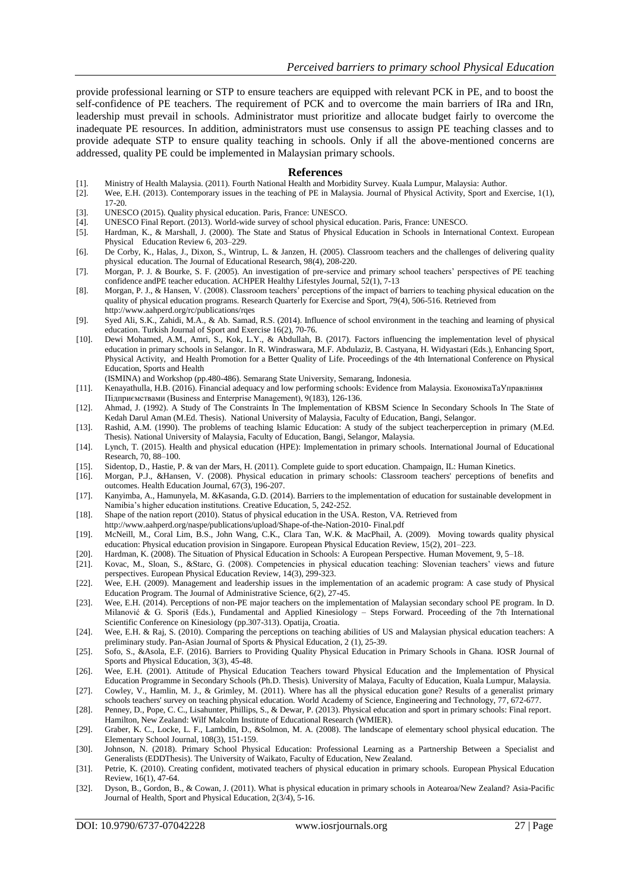provide professional learning or STP to ensure teachers are equipped with relevant PCK in PE, and to boost the self-confidence of PE teachers. The requirement of PCK and to overcome the main barriers of IRa and IRn, leadership must prevail in schools. Administrator must prioritize and allocate budget fairly to overcome the inadequate PE resources. In addition, administrators must use consensus to assign PE teaching classes and to provide adequate STP to ensure quality teaching in schools. Only if all the above-mentioned concerns are addressed, quality PE could be implemented in Malaysian primary schools.

#### **References**

- [1]. Ministry of Health Malaysia. (2011). Fourth National Health and Morbidity Survey. Kuala Lumpur, Malaysia: Author.
- [2]. Wee, E.H. (2013). Contemporary issues in the teaching of PE in Malaysia. Journal of Physical Activity, Sport and Exercise, 1(1), 17-20.
- [3]. UNESCO (2015). Quality physical education. Paris, France: UNESCO.
- [4]. UNESCO Final Report. (2013). World-wide survey of school physical education. Paris, France: UNESCO.
- [5]. Hardman, K., & Marshall, J. (2000). The State and Status of Physical Education in Schools in International Context. European Physical Education Review 6, 203–229.
- [6]. De Corby, K., Halas, J., Dixon, S., Wintrup, L. & Janzen, H. (2005). Classroom teachers and the challenges of delivering quality physical education. The Journal of Educational Research, 98(4), 208-220.
- [7]. Morgan, P. J. & Bourke, S. F. (2005). An investigation of pre-service and primary school teachers" perspectives of PE teaching confidence andPE teacher education. ACHPER Healthy Lifestyles Journal, 52(1), 7-13
- [8]. Morgan, P. J., & Hansen, V. (2008). Classroom teachers" perceptions of the impact of barriers to teaching physical education on the quality of physical education programs. Research Quarterly for Exercise and Sport, 79(4), 506-516. Retrieved from http://www.aahperd.org/rc/publications/rqes
- [9]. Syed Ali, S.K., Zahidi, M.A., & Ab. Samad, R.S. (2014). Influence of school environment in the teaching and learning of physical education. Turkish Journal of Sport and Exercise 16(2), 70-76.
- [10]. Dewi Mohamed, A.M., Amri, S., Kok, L.Y., & Abdullah, B. (2017). Factors influencing the implementation level of physical education in primary schools in Selangor. In R. Windraswara, M.F. Abdulaziz, B. Castyana, H. Widyastari (Eds.), Enhancing Sport, Physical Activity, and Health Promotion for a Better Quality of Life. Proceedings of the 4th International Conference on Physical Education, Sports and Health
	- (ISMINA) and Workshop (pp.480-486). Semarang State University, Semarang, Indonesia.
- [11]. Kenayathulla, H.B. (2016). Financial adequacy and low performing schools: Evidence from Malaysia. ЕкономікаТаУправління Підприємствами (Business and Enterprise Management), 9(183), 126-136.
- [12]. Ahmad, J. (1992). A Study of The Constraints In The Implementation of KBSM Science In Secondary Schools In The State of Kedah Darul Aman (M.Ed. Thesis). National University of Malaysia, Faculty of Education, Bangi, Selangor.
- [13]. Rashid, A.M. (1990). The problems of teaching Islamic Education: A study of the subject teacherperception in primary (M.Ed. Thesis). National University of Malaysia, Faculty of Education, Bangi, Selangor, Malaysia.
- [14]. Lynch, T. (2015). Health and physical education (HPE): Implementation in primary schools. International Journal of Educational Research, 70, 88–100.
- [15]. Sidentop, D., Hastie, P. & van der Mars, H. (2011). Complete guide to sport education. Champaign, IL: Human Kinetics.
- [16]. Morgan, P.J., &Hansen, V. (2008). Physical education in primary schools: Classroom teachers' perceptions of benefits and outcomes. Health Education Journal, 67(3), 196-207.
- [17]. Kanyimba, A., Hamunyela, M. &Kasanda, G.D. (2014). Barriers to the implementation of education for sustainable development in Namibia"s higher education institutions. Creative Education, 5, 242-252.
- [18]. Shape of the nation report (2010). Status of physical education in the USA. Reston, VA. Retrieved from
- http://www.aahperd.org/naspe/publications/upload/Shape-of-the-Nation-2010- Final.pdf
- [19]. McNeill, M., Coral Lim, B.S., John Wang, C.K., Clara Tan, W.K. & MacPhail, A. (2009). Moving towards quality physical education: Physical education provision in Singapore. European Physical Education Review, 15(2), 201–223.
- [20]. Hardman, K. (2008). The Situation of Physical Education in Schools: A European Perspective. Human Movement, 9, 5–18.
- [21]. Kovac, M., Sloan, S., &Starc, G. (2008). Competencies in physical education teaching: Slovenian teachers" views and future perspectives. European Physical Education Review, 14(3), 299-323.
- [22]. Wee, E.H. (2009). Management and leadership issues in the implementation of an academic program: A case study of Physical Education Program. The Journal of Administrative Science, 6(2), 27-45.
- [23]. Wee, E.H. (2014). Perceptions of non-PE major teachers on the implementation of Malaysian secondary school PE program. In D. Milanović & G. Sporiš (Eds.), Fundamental and Applied Kinesiology – Steps Forward. Proceeding of the 7th International Scientific Conference on Kinesiology (pp.307-313). Opatija, Croatia.
- [24]. Wee, E.H. & Raj, S. (2010). Comparing the perceptions on teaching abilities of US and Malaysian physical education teachers: A preliminary study. Pan-Asian Journal of Sports & Physical Education, 2 (1), 25-39.
- [25]. Sofo, S., &Asola, E.F. (2016). Barriers to Providing Quality Physical Education in Primary Schools in Ghana. IOSR Journal of Sports and Physical Education, 3(3), 45-48.
- [26]. Wee, E.H. (2001). Attitude of Physical Education Teachers toward Physical Education and the Implementation of Physical Education Programme in Secondary Schools (Ph.D. Thesis). University of Malaya, Faculty of Education, Kuala Lumpur, Malaysia.
- [27]. Cowley, V., Hamlin, M. J., & Grimley, M. (2011). Where has all the physical education gone? Results of a generalist primary schools teachers' survey on teaching physical education. World Academy of Science, Engineering and Technology, 77, 672-677.
- [28]. Penney, D., Pope, C. C., Lisahunter, Phillips, S., & Dewar, P. (2013). Physical education and sport in primary schools: Final report. Hamilton, New Zealand: Wilf Malcolm Institute of Educational Research (WMIER).
- [29]. Graber, K. C., Locke, L. F., Lambdin, D., &Solmon, M. A. (2008). The landscape of elementary school physical education. The Elementary School Journal, 108(3), 151-159.
- [30]. Johnson, N. (2018). Primary School Physical Education: Professional Learning as a Partnership Between a Specialist and Generalists (EDDThesis). The University of Waikato, Faculty of Education, New Zealand.
- [31]. Petrie, K. (2010). Creating confident, motivated teachers of physical education in primary schools. European Physical Education Review, 16(1), 47-64.
- [32]. Dyson, B., Gordon, B., & Cowan, J. (2011). What is physical education in primary schools in Aotearoa/New Zealand? Asia-Pacific Journal of Health, Sport and Physical Education, 2(3/4), 5-16.